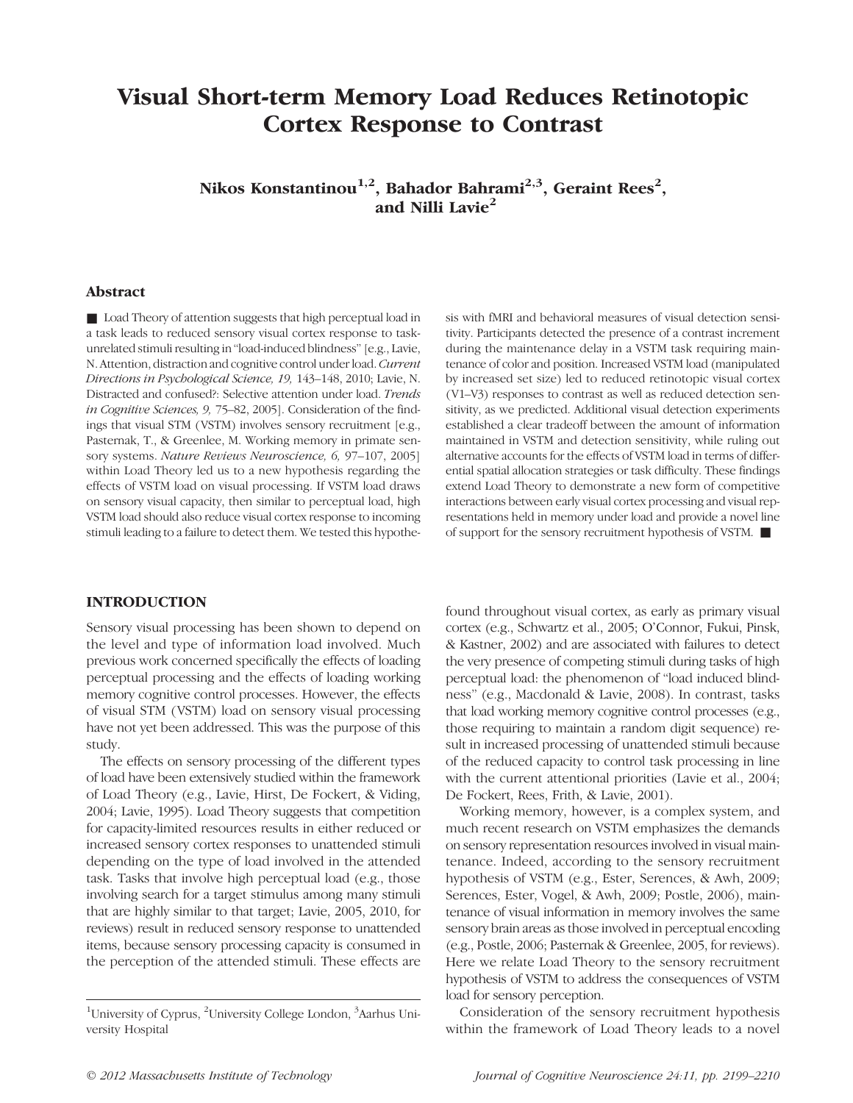# Visual Short-term Memory Load Reduces Retinotopic Cortex Response to Contrast

Nikos Konstantinou $^{1,2}$ , Bahador Bahrami $^{2,3}$ , Geraint Rees $^{2},$ and Nilli Lavie<sup>2</sup>

## Abstract

■ Load Theory of attention suggests that high perceptual load in a task leads to reduced sensory visual cortex response to taskunrelated stimuli resulting in "load-induced blindness"[e.g., Lavie, N. Attention, distraction and cognitive control under load. Current Directions in Psychological Science, 19, 143–148, 2010; Lavie, N. Distracted and confused?: Selective attention under load. Trends in Cognitive Sciences, 9, 75–82, 2005]. Consideration of the findings that visual STM (VSTM) involves sensory recruitment [e.g., Pasternak, T., & Greenlee, M. Working memory in primate sensory systems. Nature Reviews Neuroscience, 6, 97–107, 2005] within Load Theory led us to a new hypothesis regarding the effects of VSTM load on visual processing. If VSTM load draws on sensory visual capacity, then similar to perceptual load, high VSTM load should also reduce visual cortex response to incoming stimuli leading to a failure to detect them. We tested this hypothe-

## INTRODUCTION

Sensory visual processing has been shown to depend on the level and type of information load involved. Much previous work concerned specifically the effects of loading perceptual processing and the effects of loading working memory cognitive control processes. However, the effects of visual STM (VSTM) load on sensory visual processing have not yet been addressed. This was the purpose of this study.

The effects on sensory processing of the different types of load have been extensively studied within the framework of Load Theory (e.g., Lavie, Hirst, De Fockert, & Viding, 2004; Lavie, 1995). Load Theory suggests that competition for capacity-limited resources results in either reduced or increased sensory cortex responses to unattended stimuli depending on the type of load involved in the attended task. Tasks that involve high perceptual load (e.g., those involving search for a target stimulus among many stimuli that are highly similar to that target; Lavie, 2005, 2010, for reviews) result in reduced sensory response to unattended items, because sensory processing capacity is consumed in the perception of the attended stimuli. These effects are sis with fMRI and behavioral measures of visual detection sensitivity. Participants detected the presence of a contrast increment during the maintenance delay in a VSTM task requiring maintenance of color and position. Increased VSTM load (manipulated by increased set size) led to reduced retinotopic visual cortex (V1–V3) responses to contrast as well as reduced detection sensitivity, as we predicted. Additional visual detection experiments established a clear tradeoff between the amount of information maintained in VSTM and detection sensitivity, while ruling out alternative accounts for the effects of VSTM load in terms of differential spatial allocation strategies or task difficulty. These findings extend Load Theory to demonstrate a new form of competitive interactions between early visual cortex processing and visual representations held in memory under load and provide a novel line of support for the sensory recruitment hypothesis of VSTM. ■

found throughout visual cortex, as early as primary visual cortex (e.g., Schwartz et al., 2005; O'Connor, Fukui, Pinsk, & Kastner, 2002) and are associated with failures to detect the very presence of competing stimuli during tasks of high perceptual load: the phenomenon of "load induced blindness" (e.g., Macdonald & Lavie, 2008). In contrast, tasks that load working memory cognitive control processes (e.g., those requiring to maintain a random digit sequence) result in increased processing of unattended stimuli because of the reduced capacity to control task processing in line with the current attentional priorities (Lavie et al., 2004; De Fockert, Rees, Frith, & Lavie, 2001).

Working memory, however, is a complex system, and much recent research on VSTM emphasizes the demands on sensory representation resources involved in visual maintenance. Indeed, according to the sensory recruitment hypothesis of VSTM (e.g., Ester, Serences, & Awh, 2009; Serences, Ester, Vogel, & Awh, 2009; Postle, 2006), maintenance of visual information in memory involves the same sensory brain areas as those involved in perceptual encoding (e.g., Postle, 2006; Pasternak & Greenlee, 2005, for reviews). Here we relate Load Theory to the sensory recruitment hypothesis of VSTM to address the consequences of VSTM load for sensory perception.

Consideration of the sensory recruitment hypothesis within the framework of Load Theory leads to a novel

<sup>&</sup>lt;sup>1</sup>University of Cyprus, <sup>2</sup>University College London, <sup>3</sup>Aarhus University Hospital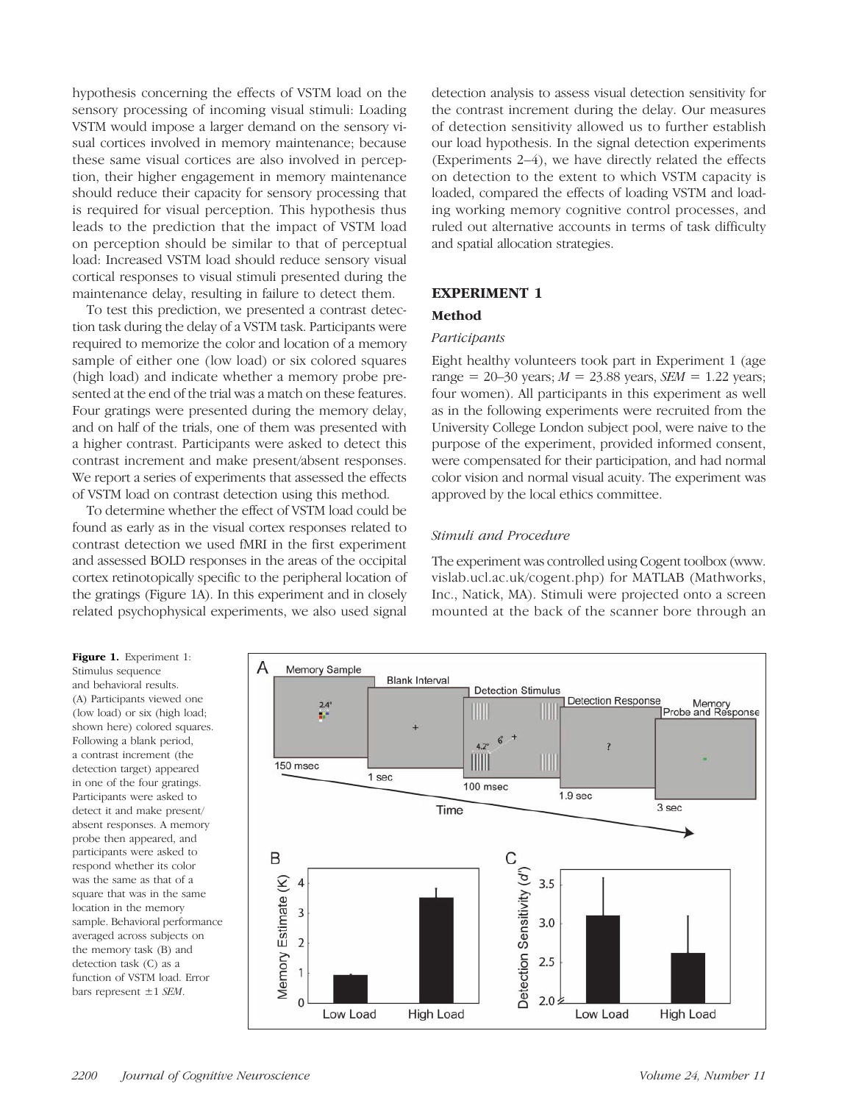hypothesis concerning the effects of VSTM load on the sensory processing of incoming visual stimuli: Loading VSTM would impose a larger demand on the sensory visual cortices involved in memory maintenance; because these same visual cortices are also involved in perception, their higher engagement in memory maintenance should reduce their capacity for sensory processing that is required for visual perception. This hypothesis thus leads to the prediction that the impact of VSTM load on perception should be similar to that of perceptual load: Increased VSTM load should reduce sensory visual cortical responses to visual stimuli presented during the maintenance delay, resulting in failure to detect them.

To test this prediction, we presented a contrast detection task during the delay of a VSTM task. Participants were required to memorize the color and location of a memory sample of either one (low load) or six colored squares (high load) and indicate whether a memory probe presented at the end of the trial was a match on these features. Four gratings were presented during the memory delay, and on half of the trials, one of them was presented with a higher contrast. Participants were asked to detect this contrast increment and make present/absent responses. We report a series of experiments that assessed the effects of VSTM load on contrast detection using this method.

To determine whether the effect of VSTM load could be found as early as in the visual cortex responses related to contrast detection we used fMRI in the first experiment and assessed BOLD responses in the areas of the occipital cortex retinotopically specific to the peripheral location of the gratings (Figure 1A). In this experiment and in closely related psychophysical experiments, we also used signal

detection analysis to assess visual detection sensitivity for the contrast increment during the delay. Our measures of detection sensitivity allowed us to further establish our load hypothesis. In the signal detection experiments (Experiments 2–4), we have directly related the effects on detection to the extent to which VSTM capacity is loaded, compared the effects of loading VSTM and loading working memory cognitive control processes, and ruled out alternative accounts in terms of task difficulty and spatial allocation strategies.

# EXPERIMENT 1

#### Method

## Participants

Eight healthy volunteers took part in Experiment 1 (age range = 20–30 years;  $M = 23.88$  years,  $SEM = 1.22$  years; four women). All participants in this experiment as well as in the following experiments were recruited from the University College London subject pool, were naive to the purpose of the experiment, provided informed consent, were compensated for their participation, and had normal color vision and normal visual acuity. The experiment was approved by the local ethics committee.

#### Stimuli and Procedure

The experiment was controlled using Cogent toolbox (www. vislab.ucl.ac.uk/cogent.php) for MATLAB (Mathworks, Inc., Natick, MA). Stimuli were projected onto a screen mounted at the back of the scanner bore through an

Figure 1. Experiment 1: Stimulus sequence and behavioral results. (A) Participants viewed one (low load) or six (high load; shown here) colored squares. Following a blank period, a contrast increment (the detection target) appeared in one of the four gratings. Participants were asked to detect it and make present/ absent responses. A memory probe then appeared, and participants were asked to respond whether its color was the same as that of a square that was in the same location in the memory sample. Behavioral performance averaged across subjects on the memory task (B) and detection task (C) as a function of VSTM load. Error bars represent  $\pm 1$  SEM.

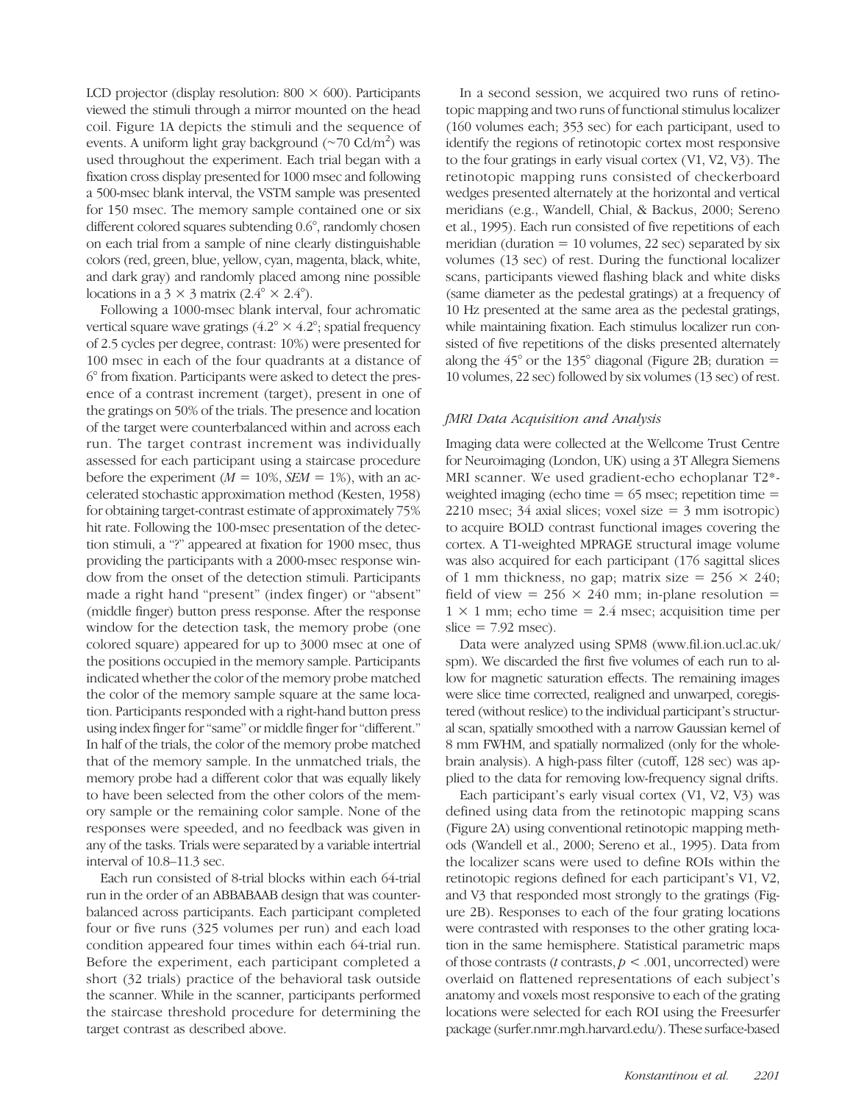LCD projector (display resolution:  $800 \times 600$ ). Participants viewed the stimuli through a mirror mounted on the head coil. Figure 1A depicts the stimuli and the sequence of events. A uniform light gray background (~70 Cd/m<sup>2</sup>) was used throughout the experiment. Each trial began with a fixation cross display presented for 1000 msec and following a 500-msec blank interval, the VSTM sample was presented for 150 msec. The memory sample contained one or six different colored squares subtending 0.6°, randomly chosen on each trial from a sample of nine clearly distinguishable colors (red, green, blue, yellow, cyan, magenta, black, white, and dark gray) and randomly placed among nine possible locations in a  $3 \times 3$  matrix  $(2.4^\circ \times 2.4^\circ)$ .

Following a 1000-msec blank interval, four achromatic vertical square wave gratings  $(4.2^{\circ} \times 4.2^{\circ})$ ; spatial frequency of 2.5 cycles per degree, contrast: 10%) were presented for 100 msec in each of the four quadrants at a distance of 6° from fixation. Participants were asked to detect the presence of a contrast increment (target), present in one of the gratings on 50% of the trials. The presence and location of the target were counterbalanced within and across each run. The target contrast increment was individually assessed for each participant using a staircase procedure before the experiment  $(M = 10\%, SEM = 1\%)$ , with an accelerated stochastic approximation method (Kesten, 1958) for obtaining target-contrast estimate of approximately 75% hit rate. Following the 100-msec presentation of the detection stimuli, a "?" appeared at fixation for 1900 msec, thus providing the participants with a 2000-msec response window from the onset of the detection stimuli. Participants made a right hand "present" (index finger) or "absent" (middle finger) button press response. After the response window for the detection task, the memory probe (one colored square) appeared for up to 3000 msec at one of the positions occupied in the memory sample. Participants indicated whether the color of the memory probe matched the color of the memory sample square at the same location. Participants responded with a right-hand button press using index finger for "same" or middle finger for "different." In half of the trials, the color of the memory probe matched that of the memory sample. In the unmatched trials, the memory probe had a different color that was equally likely to have been selected from the other colors of the memory sample or the remaining color sample. None of the responses were speeded, and no feedback was given in any of the tasks. Trials were separated by a variable intertrial interval of 10.8–11.3 sec.

Each run consisted of 8-trial blocks within each 64-trial run in the order of an ABBABAAB design that was counterbalanced across participants. Each participant completed four or five runs (325 volumes per run) and each load condition appeared four times within each 64-trial run. Before the experiment, each participant completed a short (32 trials) practice of the behavioral task outside the scanner. While in the scanner, participants performed the staircase threshold procedure for determining the target contrast as described above.

In a second session, we acquired two runs of retinotopic mapping and two runs of functional stimulus localizer (160 volumes each; 353 sec) for each participant, used to identify the regions of retinotopic cortex most responsive to the four gratings in early visual cortex (V1, V2, V3). The retinotopic mapping runs consisted of checkerboard wedges presented alternately at the horizontal and vertical meridians (e.g., Wandell, Chial, & Backus, 2000; Sereno et al., 1995). Each run consisted of five repetitions of each meridian (duration  $= 10$  volumes, 22 sec) separated by six volumes (13 sec) of rest. During the functional localizer scans, participants viewed flashing black and white disks (same diameter as the pedestal gratings) at a frequency of 10 Hz presented at the same area as the pedestal gratings, while maintaining fixation. Each stimulus localizer run consisted of five repetitions of the disks presented alternately along the  $45^{\circ}$  or the 135 $^{\circ}$  diagonal (Figure 2B; duration = 10 volumes, 22 sec) followed by six volumes (13 sec) of rest.

# fMRI Data Acquisition and Analysis

Imaging data were collected at the Wellcome Trust Centre for Neuroimaging (London, UK) using a 3T Allegra Siemens MRI scanner. We used gradient-echo echoplanar T2\* weighted imaging (echo time  $= 65$  msec; repetition time  $=$ 2210 msec;  $34$  axial slices; voxel size = 3 mm isotropic) to acquire BOLD contrast functional images covering the cortex. A T1-weighted MPRAGE structural image volume was also acquired for each participant (176 sagittal slices of 1 mm thickness, no gap; matrix size =  $256 \times 240$ ; field of view =  $256 \times 240$  mm; in-plane resolution =  $1 \times 1$  mm; echo time = 2.4 msec; acquisition time per slice  $= 7.92$  msec).

Data were analyzed using SPM8 (www.fil.ion.ucl.ac.uk/ spm). We discarded the first five volumes of each run to allow for magnetic saturation effects. The remaining images were slice time corrected, realigned and unwarped, coregistered (without reslice) to the individual participant's structural scan, spatially smoothed with a narrow Gaussian kernel of 8 mm FWHM, and spatially normalized (only for the wholebrain analysis). A high-pass filter (cutoff, 128 sec) was applied to the data for removing low-frequency signal drifts.

Each participant's early visual cortex (V1, V2, V3) was defined using data from the retinotopic mapping scans (Figure 2A) using conventional retinotopic mapping methods (Wandell et al., 2000; Sereno et al., 1995). Data from the localizer scans were used to define ROIs within the retinotopic regions defined for each participant's V1, V2, and V3 that responded most strongly to the gratings (Figure 2B). Responses to each of the four grating locations were contrasted with responses to the other grating location in the same hemisphere. Statistical parametric maps of those contrasts (*t* contrasts,  $p < .001$ , uncorrected) were overlaid on flattened representations of each subject's anatomy and voxels most responsive to each of the grating locations were selected for each ROI using the Freesurfer package (surfer.nmr.mgh.harvard.edu/). These surface-based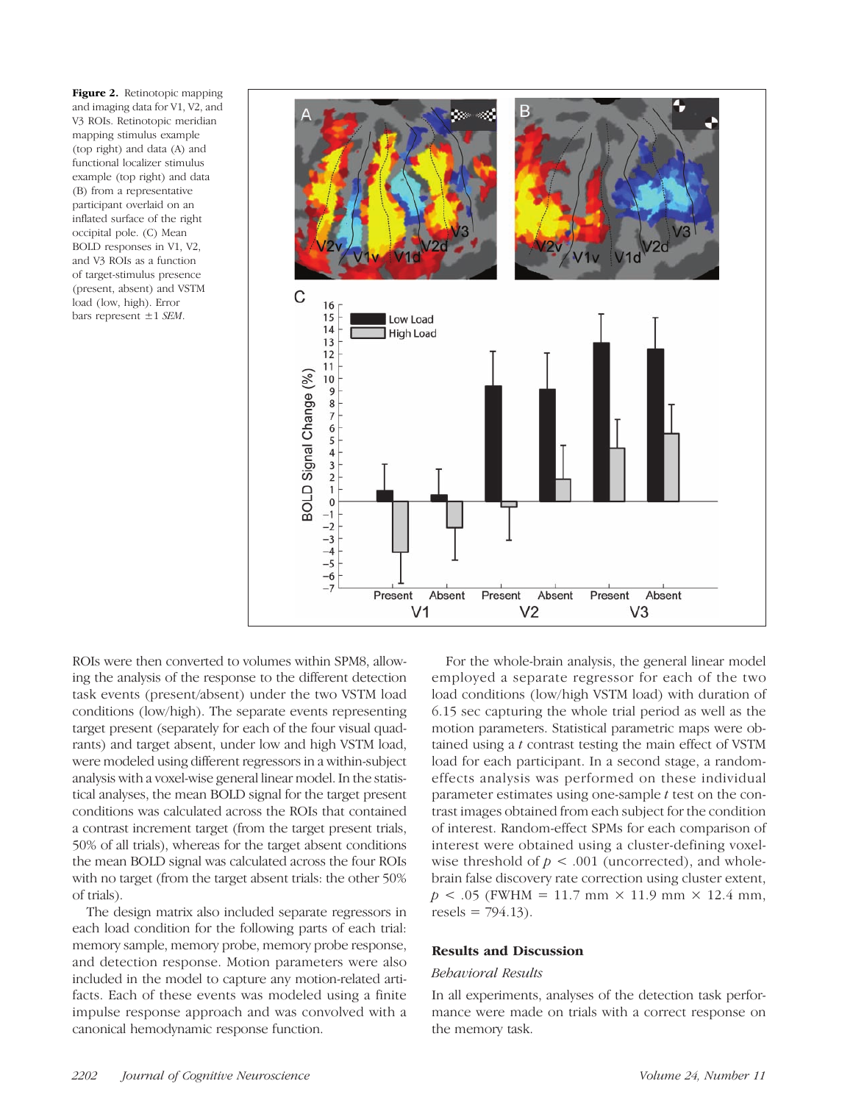Figure 2. Retinotopic mapping and imaging data for V1, V2, and V3 ROIs. Retinotopic meridian mapping stimulus example (top right) and data (A) and functional localizer stimulus example (top right) and data (B) from a representative participant overlaid on an inflated surface of the right occipital pole. (C) Mean BOLD responses in V1, V2, and V3 ROIs as a function of target-stimulus presence (present, absent) and VSTM load (low, high). Error bars represent  $\pm 1$  SEM.



ROIs were then converted to volumes within SPM8, allowing the analysis of the response to the different detection task events (present/absent) under the two VSTM load conditions (low/high). The separate events representing target present (separately for each of the four visual quadrants) and target absent, under low and high VSTM load, were modeled using different regressors in a within-subject analysis with a voxel-wise general linear model. In the statistical analyses, the mean BOLD signal for the target present conditions was calculated across the ROIs that contained a contrast increment target (from the target present trials, 50% of all trials), whereas for the target absent conditions the mean BOLD signal was calculated across the four ROIs with no target (from the target absent trials: the other 50% of trials).

The design matrix also included separate regressors in each load condition for the following parts of each trial: memory sample, memory probe, memory probe response, and detection response. Motion parameters were also included in the model to capture any motion-related artifacts. Each of these events was modeled using a finite impulse response approach and was convolved with a canonical hemodynamic response function.

For the whole-brain analysis, the general linear model employed a separate regressor for each of the two load conditions (low/high VSTM load) with duration of 6.15 sec capturing the whole trial period as well as the motion parameters. Statistical parametric maps were obtained using a t contrast testing the main effect of VSTM load for each participant. In a second stage, a randomeffects analysis was performed on these individual parameter estimates using one-sample  $t$  test on the contrast images obtained from each subject for the condition of interest. Random-effect SPMs for each comparison of interest were obtained using a cluster-defining voxelwise threshold of  $p < .001$  (uncorrected), and wholebrain false discovery rate correction using cluster extent,  $p < .05$  (FWHM = 11.7 mm  $\times$  11.9 mm  $\times$  12.4 mm,  $resels = 794.13$ .

## Results and Discussion

#### Behavioral Results

In all experiments, analyses of the detection task performance were made on trials with a correct response on the memory task.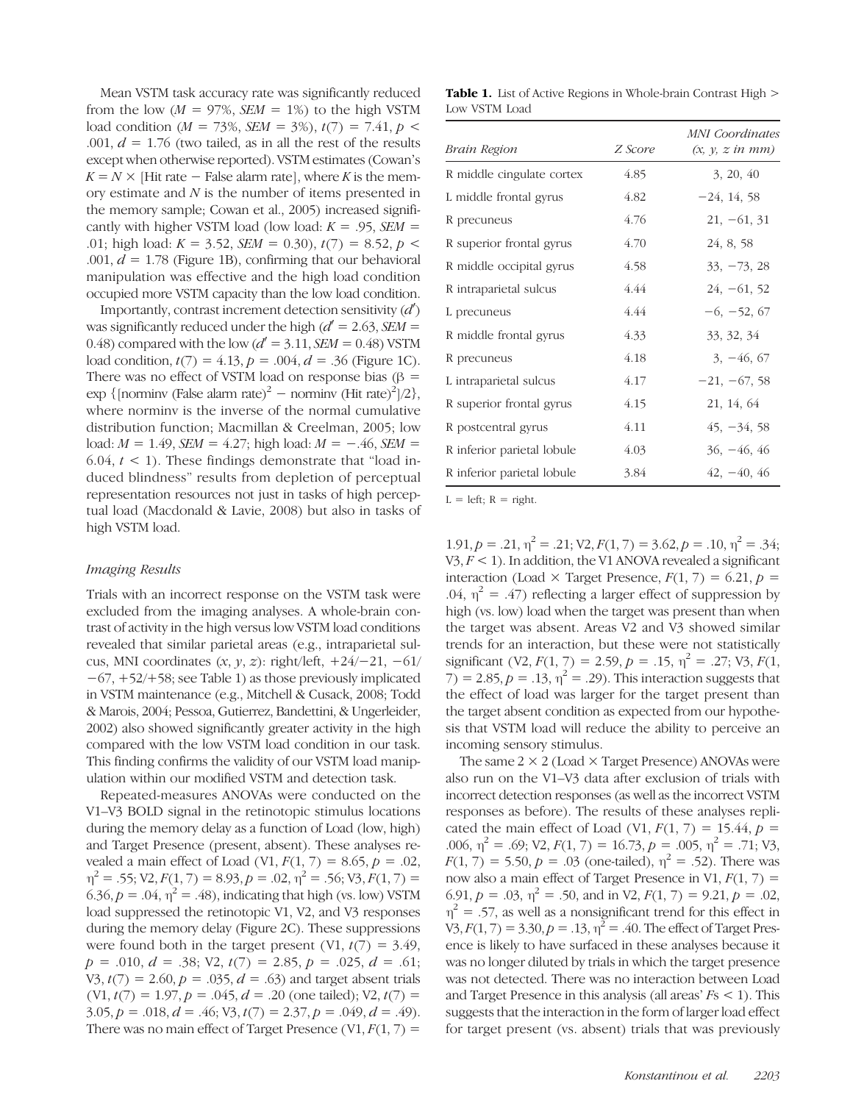Mean VSTM task accuracy rate was significantly reduced from the low  $(M = 97\%, \text{SEM} = 1\%)$  to the high VSTM load condition ( $M = 73\%$ ,  $SEM = 3\%$ ),  $t(7) = 7.41$ ,  $p <$ .001,  $d = 1.76$  (two tailed, as in all the rest of the results except when otherwise reported). VSTM estimates (Cowan's  $K = N \times$  [Hit rate – False alarm rate], where K is the memory estimate and N is the number of items presented in the memory sample; Cowan et al., 2005) increased significantly with higher VSTM load (low load:  $K = .95$ , SEM = .01; high load:  $K = 3.52$ ,  $SEM = 0.30$ ),  $t(7) = 8.52$ ,  $p <$ .001,  $d = 1.78$  (Figure 1B), confirming that our behavioral manipulation was effective and the high load condition occupied more VSTM capacity than the low load condition.

Importantly, contrast increment detection sensitivity  $(d')$ was significantly reduced under the high ( $d' = 2.63$ , SEM = 0.48) compared with the low ( $d' = 3.11$ , SEM = 0.48) VSTM load condition,  $t(7) = 4.13$ ,  $p = .004$ ,  $d = .36$  (Figure 1C). There was no effect of VSTM load on response bias ( $\beta$  = exp { $\left[\text{norminv (False alarm rate}\right)^2 - \text{norminv (Hit rate})^2/2$ }, where norminv is the inverse of the normal cumulative distribution function; Macmillan & Creelman, 2005; low load:  $M = 1.49$ ,  $SEM = 4.27$ ; high load:  $M = -.46$ ,  $SEM =$ 6.04,  $t < 1$ ). These findings demonstrate that "load induced blindness" results from depletion of perceptual representation resources not just in tasks of high perceptual load (Macdonald & Lavie, 2008) but also in tasks of high VSTM load.

#### Imaging Results

Trials with an incorrect response on the VSTM task were excluded from the imaging analyses. A whole-brain contrast of activity in the high versus low VSTM load conditions revealed that similar parietal areas (e.g., intraparietal sulcus, MNI coordinates  $(x, y, z)$ : right/left, +24/−21, −61/ −67, +52/+58; see Table 1) as those previously implicated in VSTM maintenance (e.g., Mitchell & Cusack, 2008; Todd & Marois, 2004; Pessoa, Gutierrez, Bandettini, & Ungerleider, 2002) also showed significantly greater activity in the high compared with the low VSTM load condition in our task. This finding confirms the validity of our VSTM load manipulation within our modified VSTM and detection task.

Repeated-measures ANOVAs were conducted on the V1–V3 BOLD signal in the retinotopic stimulus locations during the memory delay as a function of Load (low, high) and Target Presence (present, absent). These analyses revealed a main effect of Load (V1,  $F(1, 7) = 8.65$ ,  $p = .02$ ,  $\eta^2$  = .55; V2,  $F(1, 7)$  = 8.93,  $p = .02$ ,  $\eta^2$  = .56; V3,  $F(1, 7)$  = 6.36,  $p = 0.04$ ,  $\eta^2 = 0.48$ ), indicating that high (vs. low) VSTM load suppressed the retinotopic V1, V2, and V3 responses during the memory delay (Figure 2C). These suppressions were found both in the target present  $(V1, t(7) = 3.49)$ ,  $p = .010, d = .38; V2, t(7) = 2.85, p = .025, d = .61;$ V3,  $t(7) = 2.60, p = .035, d = .63$  and target absent trials  $(V1, t(7) = 1.97, p = .045, d = .20$  (one tailed);  $V2, t(7) =$  $3.05, p = .018, d = .46; V3, t(7) = 2.37, p = .049, d = .49).$ There was no main effect of Target Presence  $(V1, F(1, 7)) =$ 

Table 1. List of Active Regions in Whole-brain Contrast High > Low VSTM Load

| Brain Region               | Z Score | MNI Coordinates<br>(x, y, z in mm) |
|----------------------------|---------|------------------------------------|
| R middle cingulate cortex  | 4.85    | 3, 20, 40                          |
| L middle frontal gyrus     | 4.82    | $-24, 14, 58$                      |
| R precuneus                | 4.76    | $21, -61, 31$                      |
| R superior frontal gyrus   | 4.70    | 24, 8, 58                          |
| R middle occipital gyrus   | 4.58    | $33, -73, 28$                      |
| R intraparietal sulcus     | 4.44    | $24, -61, 52$                      |
| L precuneus                | 4.44    | $-6, -52, 67$                      |
| R middle frontal gyrus     | 4.33    | 33, 32, 34                         |
| R precuneus                | 4.18    | $3, -46, 67$                       |
| L intraparietal sulcus     | 4.17    | $-21, -67, 58$                     |
| R superior frontal gyrus   | 4.15    | 21, 14, 64                         |
| R postcentral gyrus        | 4.11    | $45, -34, 58$                      |
| R inferior parietal lobule | 4.03    | $36, -46, 46$                      |
| R inferior parietal lobule | 3.84    | $42, -40, 46$                      |

 $L = left$ ;  $R = right$ .

 $1.91, p = .21, \eta^2 = .21; V2, F(1, 7) = 3.62, p = .10, \eta^2 = .34;$ V3,  $F < 1$ ). In addition, the V1 ANOVA revealed a significant interaction (Load  $\times$  Target Presence,  $F(1, 7) = 6.21$ ,  $p =$ .04,  $\eta^2 = .47$ ) reflecting a larger effect of suppression by high (vs. low) load when the target was present than when the target was absent. Areas V2 and V3 showed similar trends for an interaction, but these were not statistically significant (V2,  $F(1, 7) = 2.59$ ,  $p = .15$ ,  $\eta^2 = .27$ ; V3,  $F(1,$  $(7) = 2.85$ ,  $p = .13$ ,  $\eta^2 = .29$ ). This interaction suggests that the effect of load was larger for the target present than the target absent condition as expected from our hypothesis that VSTM load will reduce the ability to perceive an incoming sensory stimulus.

The same  $2 \times 2$  (Load  $\times$  Target Presence) ANOVAs were also run on the V1–V3 data after exclusion of trials with incorrect detection responses (as well as the incorrect VSTM responses as before). The results of these analyses replicated the main effect of Load (V1,  $F(1, 7) = 15.44$ ,  $p =$ .006,  $\eta^2 = .69$ ; V2,  $F(1, 7) = 16.73$ ,  $p = .005$ ,  $\eta^2 = .71$ ; V3,  $F(1, 7) = 5.50, p = .03$  (one-tailed),  $\eta^2 = .52$ ). There was now also a main effect of Target Presence in V1,  $F(1, 7) =$ 6.91,  $p = 0.03$ ,  $\eta^2 = 0.50$ , and in V2,  $F(1, 7) = 9.21$ ,  $p = 0.02$ ,  $\eta^2$  = .57, as well as a nonsignificant trend for this effect in  $V_3$ ,  $F(1, 7) = 3.30$ ,  $p = .13$ ,  $\eta^2 = .40$ . The effect of Target Presence is likely to have surfaced in these analyses because it was no longer diluted by trials in which the target presence was not detected. There was no interaction between Load and Target Presence in this analysis (all areas'  $Fs < 1$ ). This suggests that the interaction in the form of larger load effect for target present (vs. absent) trials that was previously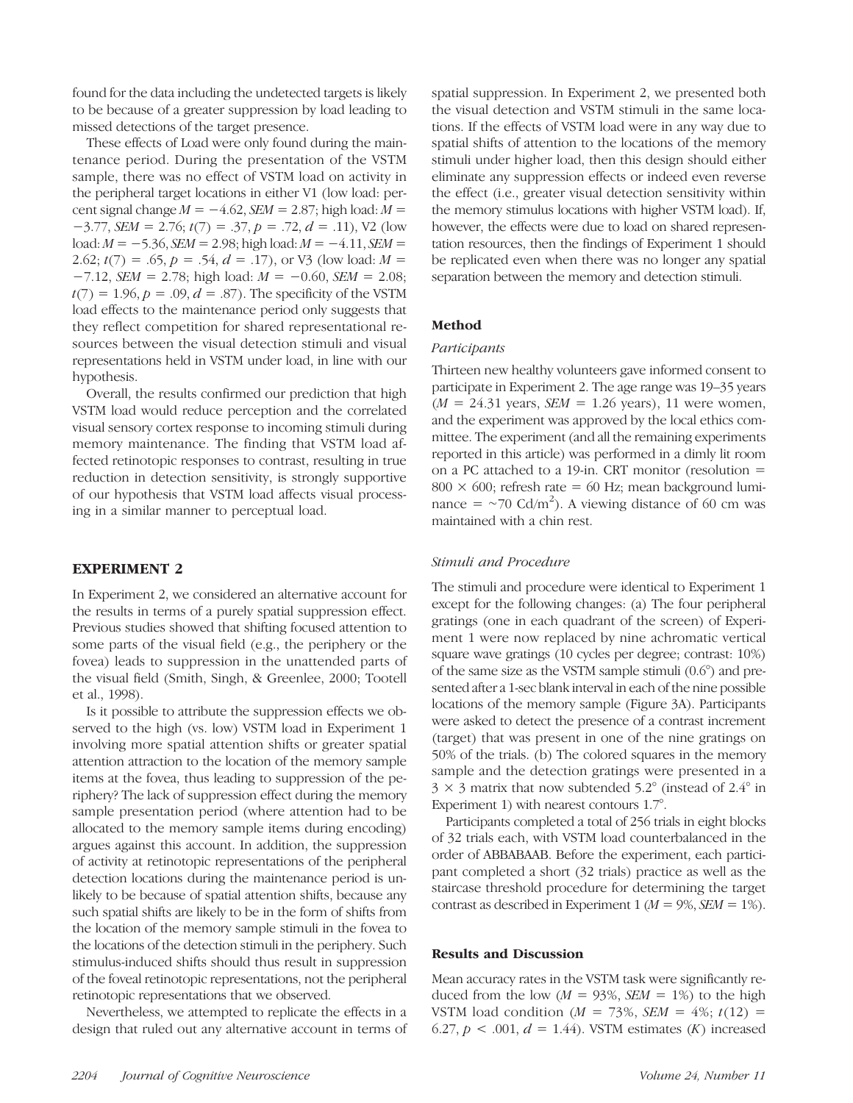found for the data including the undetected targets is likely to be because of a greater suppression by load leading to missed detections of the target presence.

These effects of Load were only found during the maintenance period. During the presentation of the VSTM sample, there was no effect of VSTM load on activity in the peripheral target locations in either V1 (low load: percent signal change  $M = -4.62$ , SEM = 2.87; high load:  $M =$  $-3.77$ , SEM = 2.76;  $t(7) = .37$ ,  $p = .72$ ,  $d = .11$ ), V2 (low load:  $M = -5.36$ , SEM = 2.98; high load:  $M = -4.11$ , SEM = 2.62;  $t(7) = .65$ ,  $p = .54$ ,  $d = .17$ ), or V3 (low load:  $M =$  $-7.12$ , SEM = 2.78; high load:  $M = -0.60$ , SEM = 2.08;  $t(7) = 1.96, p = .09, d = .87$ . The specificity of the VSTM load effects to the maintenance period only suggests that they reflect competition for shared representational resources between the visual detection stimuli and visual representations held in VSTM under load, in line with our hypothesis.

Overall, the results confirmed our prediction that high VSTM load would reduce perception and the correlated visual sensory cortex response to incoming stimuli during memory maintenance. The finding that VSTM load affected retinotopic responses to contrast, resulting in true reduction in detection sensitivity, is strongly supportive of our hypothesis that VSTM load affects visual processing in a similar manner to perceptual load.

## EXPERIMENT 2

In Experiment 2, we considered an alternative account for the results in terms of a purely spatial suppression effect. Previous studies showed that shifting focused attention to some parts of the visual field (e.g., the periphery or the fovea) leads to suppression in the unattended parts of the visual field (Smith, Singh, & Greenlee, 2000; Tootell et al., 1998).

Is it possible to attribute the suppression effects we observed to the high (vs. low) VSTM load in Experiment 1 involving more spatial attention shifts or greater spatial attention attraction to the location of the memory sample items at the fovea, thus leading to suppression of the periphery? The lack of suppression effect during the memory sample presentation period (where attention had to be allocated to the memory sample items during encoding) argues against this account. In addition, the suppression of activity at retinotopic representations of the peripheral detection locations during the maintenance period is unlikely to be because of spatial attention shifts, because any such spatial shifts are likely to be in the form of shifts from the location of the memory sample stimuli in the fovea to the locations of the detection stimuli in the periphery. Such stimulus-induced shifts should thus result in suppression of the foveal retinotopic representations, not the peripheral retinotopic representations that we observed.

Nevertheless, we attempted to replicate the effects in a design that ruled out any alternative account in terms of spatial suppression. In Experiment 2, we presented both the visual detection and VSTM stimuli in the same locations. If the effects of VSTM load were in any way due to spatial shifts of attention to the locations of the memory stimuli under higher load, then this design should either eliminate any suppression effects or indeed even reverse the effect (i.e., greater visual detection sensitivity within the memory stimulus locations with higher VSTM load). If, however, the effects were due to load on shared representation resources, then the findings of Experiment 1 should be replicated even when there was no longer any spatial separation between the memory and detection stimuli.

# Method

#### Participants

Thirteen new healthy volunteers gave informed consent to participate in Experiment 2. The age range was 19–35 years  $(M = 24.31$  years,  $SEM = 1.26$  years), 11 were women, and the experiment was approved by the local ethics committee. The experiment (and all the remaining experiments reported in this article) was performed in a dimly lit room on a PC attached to a 19-in. CRT monitor (resolution =  $800 \times 600$ ; refresh rate = 60 Hz; mean background luminance = ∼70 Cd/m<sup>2</sup>). A viewing distance of 60 cm was maintained with a chin rest.

## Stimuli and Procedure

The stimuli and procedure were identical to Experiment 1 except for the following changes: (a) The four peripheral gratings (one in each quadrant of the screen) of Experiment 1 were now replaced by nine achromatic vertical square wave gratings (10 cycles per degree; contrast: 10%) of the same size as the VSTM sample stimuli (0.6°) and presented after a 1-sec blank interval in each of the nine possible locations of the memory sample (Figure 3A). Participants were asked to detect the presence of a contrast increment (target) that was present in one of the nine gratings on 50% of the trials. (b) The colored squares in the memory sample and the detection gratings were presented in a  $3 \times 3$  matrix that now subtended 5.2° (instead of 2.4° in Experiment 1) with nearest contours 1.7°.

Participants completed a total of 256 trials in eight blocks of 32 trials each, with VSTM load counterbalanced in the order of ABBABAAB. Before the experiment, each participant completed a short (32 trials) practice as well as the staircase threshold procedure for determining the target contrast as described in Experiment 1 ( $M = 9\%$ , SEM = 1%).

## Results and Discussion

Mean accuracy rates in the VSTM task were significantly reduced from the low  $(M = 93\%, SEM = 1\%)$  to the high VSTM load condition ( $M = 73\%$ , *SEM* = 4%;  $t(12)$  = 6.27,  $p < .001$ ,  $d = 1.44$ ). VSTM estimates (K) increased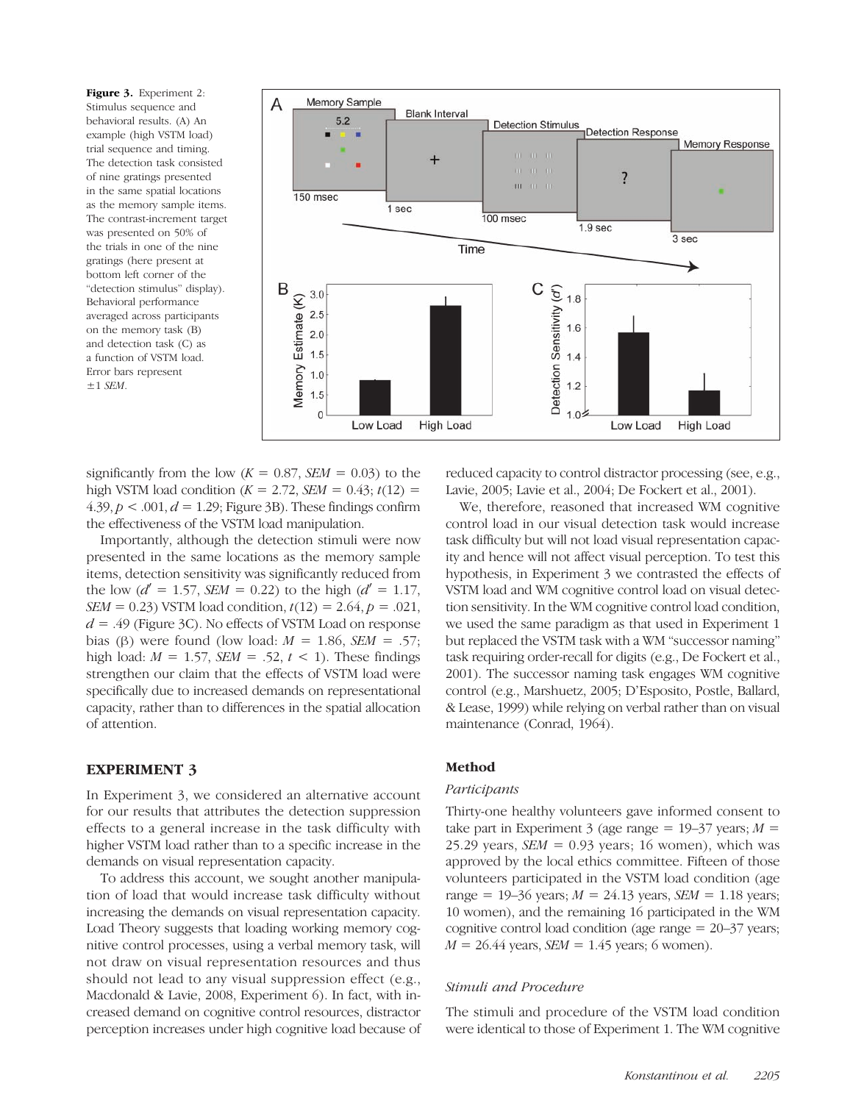Figure 3. Experiment 2: Stimulus sequence and behavioral results. (A) An example (high VSTM load) trial sequence and timing. The detection task consisted of nine gratings presented in the same spatial locations as the memory sample items. The contrast-increment target was presented on 50% of the trials in one of the nine gratings (here present at bottom left corner of the "detection stimulus" display). Behavioral performance averaged across participants on the memory task (B) and detection task (C) as a function of VSTM load. Error bars represent  $±1$  SEM.



significantly from the low ( $K = 0.87$ ,  $SEM = 0.03$ ) to the high VSTM load condition ( $K = 2.72$ ,  $SEM = 0.43$ ;  $t(12) =$  $4.39, p < .001, d = 1.29$ ; Figure 3B). These findings confirm the effectiveness of the VSTM load manipulation.

Importantly, although the detection stimuli were now presented in the same locations as the memory sample items, detection sensitivity was significantly reduced from the low ( $d' = 1.57$ , SEM = 0.22) to the high ( $d' = 1.17$ ,  $SEM = 0.23$ ) VSTM load condition,  $t(12) = 2.64$ ,  $p = .021$ ,  $d = .49$  (Figure 3C). No effects of VSTM Load on response bias (β) were found (low load:  $M = 1.86$ , SEM = .57; high load:  $M = 1.57$ ,  $SEM = .52$ ,  $t < 1$ ). These findings strengthen our claim that the effects of VSTM load were specifically due to increased demands on representational capacity, rather than to differences in the spatial allocation of attention.

# EXPERIMENT 3

In Experiment 3, we considered an alternative account for our results that attributes the detection suppression effects to a general increase in the task difficulty with higher VSTM load rather than to a specific increase in the demands on visual representation capacity.

To address this account, we sought another manipulation of load that would increase task difficulty without increasing the demands on visual representation capacity. Load Theory suggests that loading working memory cognitive control processes, using a verbal memory task, will not draw on visual representation resources and thus should not lead to any visual suppression effect (e.g., Macdonald & Lavie, 2008, Experiment 6). In fact, with increased demand on cognitive control resources, distractor perception increases under high cognitive load because of

reduced capacity to control distractor processing (see, e.g., Lavie, 2005; Lavie et al., 2004; De Fockert et al., 2001).

We, therefore, reasoned that increased WM cognitive control load in our visual detection task would increase task difficulty but will not load visual representation capacity and hence will not affect visual perception. To test this hypothesis, in Experiment 3 we contrasted the effects of VSTM load and WM cognitive control load on visual detection sensitivity. In the WM cognitive control load condition, we used the same paradigm as that used in Experiment 1 but replaced the VSTM task with a WM "successor naming" task requiring order-recall for digits (e.g., De Fockert et al., 2001). The successor naming task engages WM cognitive control (e.g., Marshuetz, 2005; D'Esposito, Postle, Ballard, & Lease, 1999) while relying on verbal rather than on visual maintenance (Conrad, 1964).

#### Method

### Participants

Thirty-one healthy volunteers gave informed consent to take part in Experiment 3 (age range =  $19-37$  years;  $M =$ 25.29 years,  $SEM = 0.93$  years; 16 women), which was approved by the local ethics committee. Fifteen of those volunteers participated in the VSTM load condition (age range = 19–36 years;  $M = 24.13$  years,  $SEM = 1.18$  years; 10 women), and the remaining 16 participated in the WM cognitive control load condition (age range = 20–37 years;  $M = 26.44$  years,  $SEM = 1.45$  years; 6 women).

# Stimuli and Procedure

The stimuli and procedure of the VSTM load condition were identical to those of Experiment 1. The WM cognitive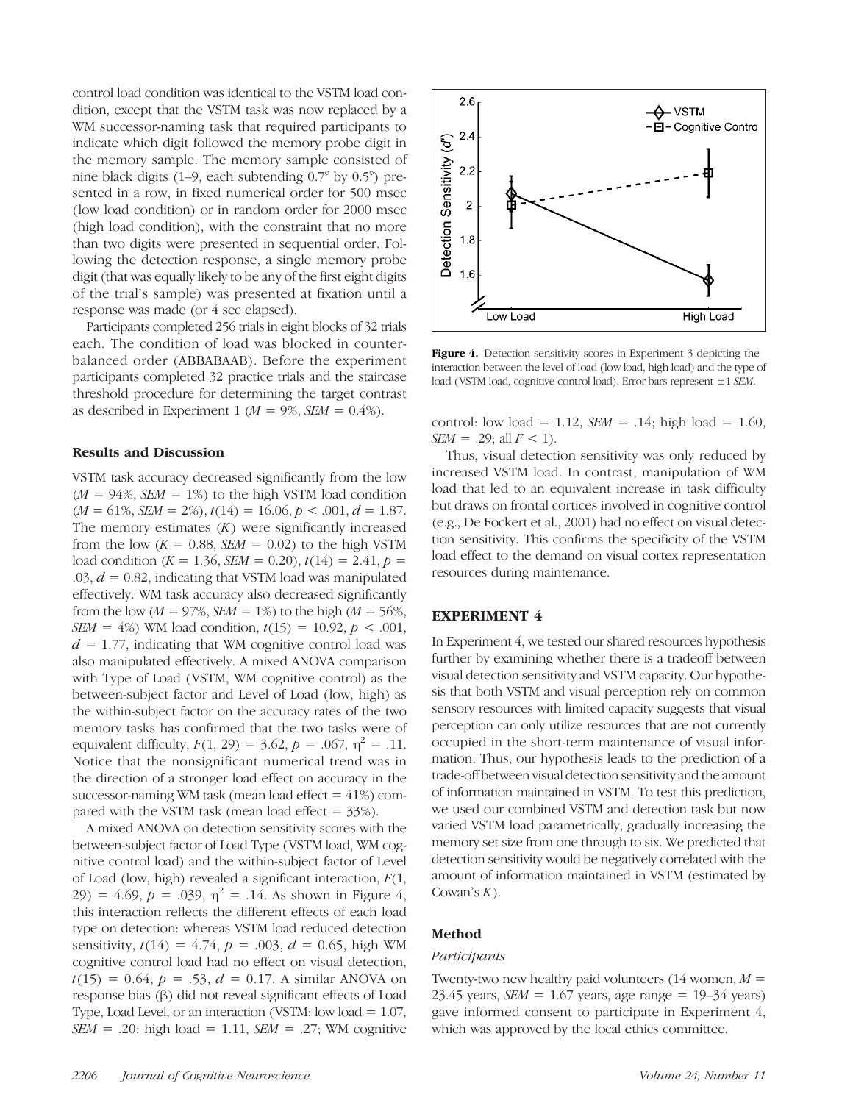control load condition was identical to the VSTM load condition, except that the VSTM task was now replaced by a WM successor-naming task that required participants to indicate which digit followed the memory probe digit in the memory sample. The memory sample consisted of nine black digits (1–9, each subtending 0.7° by 0.5°) presented in a row, in fixed numerical order for 500 msec (low load condition) or in random order for 2000 msec (high load condition), with the constraint that no more than two digits were presented in sequential order. Following the detection response, a single memory probe digit (that was equally likely to be any of the first eight digits of the trial's sample) was presented at fixation until a response was made (or 4 sec elapsed).

Participants completed 256 trials in eight blocks of 32 trials each. The condition of load was blocked in counterbalanced order (ABBABAAB). Before the experiment participants completed 32 practice trials and the staircase threshold procedure for determining the target contrast as described in Experiment 1 ( $M = 9\%$ , SEM = 0.4%).

#### Results and Discussion

VSTM task accuracy decreased significantly from the low  $(M = 94\%, SEM = 1\%)$  to the high VSTM load condition  $(M = 61\%, SEM = 2\%), t(14) = 16.06, p < .001, d = 1.87.$ The memory estimates  $(K)$  were significantly increased from the low  $(K = 0.88, SEM = 0.02)$  to the high VSTM load condition (K = 1.36, SEM = 0.20),  $t(14) = 2.41$ ,  $p =$ .03,  $d = 0.82$ , indicating that VSTM load was manipulated effectively. WM task accuracy also decreased significantly from the low ( $M = 97\%$ ,  $SEM = 1\%$ ) to the high ( $M = 56\%$ ,  $SEM = 4\%$ ) WM load condition,  $t(15) = 10.92$ ,  $p < .001$ ,  $d = 1.77$ , indicating that WM cognitive control load was also manipulated effectively. A mixed ANOVA comparison with Type of Load (VSTM, WM cognitive control) as the between-subject factor and Level of Load (low, high) as the within-subject factor on the accuracy rates of the two memory tasks has confirmed that the two tasks were of equivalent difficulty,  $F(1, 29) = 3.62$ ,  $p = .067$ ,  $\eta^2 = .11$ . Notice that the nonsignificant numerical trend was in the direction of a stronger load effect on accuracy in the successor-naming WM task (mean load effect  $= 41\%$ ) compared with the VSTM task (mean load effect  $=$  33%).

A mixed ANOVA on detection sensitivity scores with the between-subject factor of Load Type (VSTM load, WM cognitive control load) and the within-subject factor of Level of Load (low, high) revealed a significant interaction,  $F(1,$ 29) = 4.69,  $p = .039$ ,  $\eta^2 = .14$ . As shown in Figure 4, this interaction reflects the different effects of each load type on detection: whereas VSTM load reduced detection sensitivity,  $t(14) = 4.74$ ,  $p = .003$ ,  $d = 0.65$ , high WM cognitive control load had no effect on visual detection,  $t(15) = 0.64$ ,  $p = .53$ ,  $d = 0.17$ . A similar ANOVA on response bias (β) did not reveal significant effects of Load Type, Load Level, or an interaction (VSTM: low load = 1.07,  $SEM = .20$ ; high load = 1.11,  $SEM = .27$ ; WM cognitive



Figure 4. Detection sensitivity scores in Experiment 3 depicting the interaction between the level of load (low load, high load) and the type of load (VSTM load, cognitive control load). Error bars represent ±1 SEM.

control: low load = 1.12,  $SEM = .14$ ; high load = 1.60,  $SEM = .29$ ; all  $F < 1$ ).

Thus, visual detection sensitivity was only reduced by increased VSTM load. In contrast, manipulation of WM load that led to an equivalent increase in task difficulty but draws on frontal cortices involved in cognitive control (e.g., De Fockert et al., 2001) had no effect on visual detection sensitivity. This confirms the specificity of the VSTM load effect to the demand on visual cortex representation resources during maintenance.

#### EXPERIMENT 4

In Experiment 4, we tested our shared resources hypothesis further by examining whether there is a tradeoff between visual detection sensitivity and VSTM capacity. Our hypothesis that both VSTM and visual perception rely on common sensory resources with limited capacity suggests that visual perception can only utilize resources that are not currently occupied in the short-term maintenance of visual information. Thus, our hypothesis leads to the prediction of a trade-off between visual detection sensitivity and the amount of information maintained in VSTM. To test this prediction, we used our combined VSTM and detection task but now varied VSTM load parametrically, gradually increasing the memory set size from one through to six. We predicted that detection sensitivity would be negatively correlated with the amount of information maintained in VSTM (estimated by Cowan's  $K$ ).

#### Method

#### Participants

Twenty-two new healthy paid volunteers  $(14 \text{ women}, M =$ 23.45 years,  $SEM = 1.67$  years, age range = 19–34 years) gave informed consent to participate in Experiment 4, which was approved by the local ethics committee.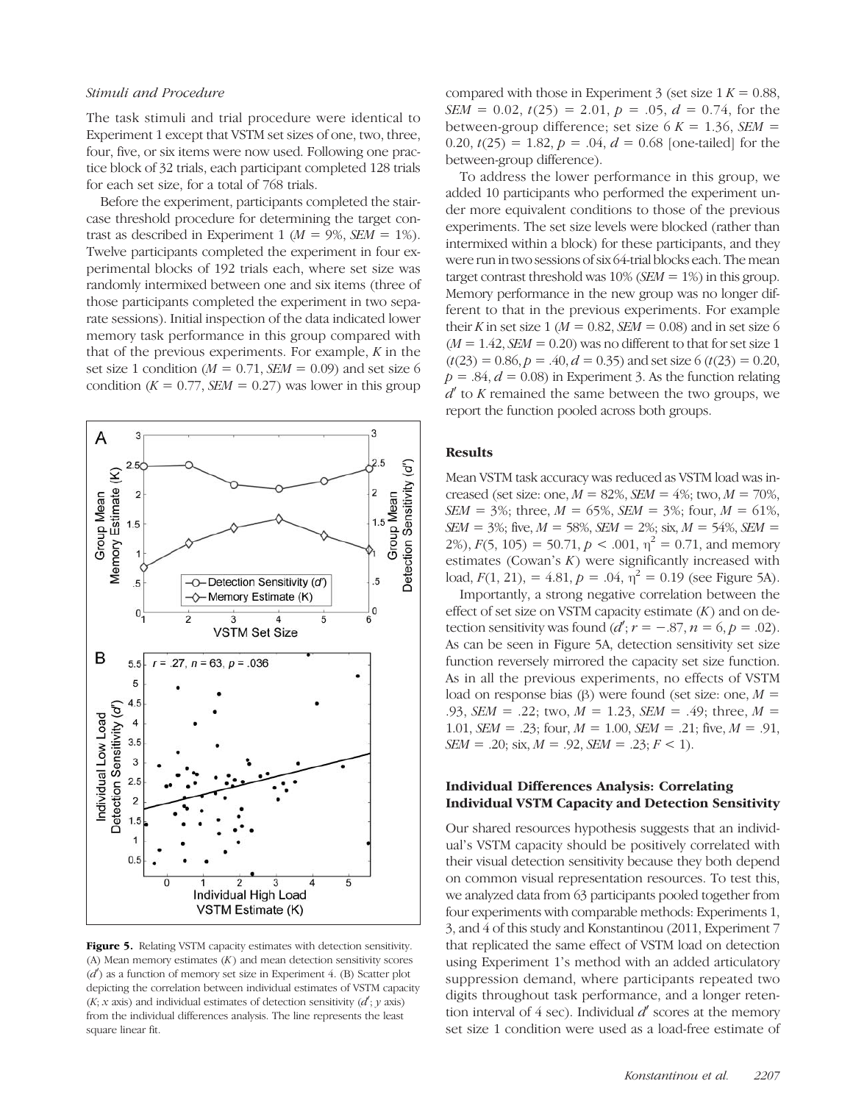#### Stimuli and Procedure

The task stimuli and trial procedure were identical to Experiment 1 except that VSTM set sizes of one, two, three, four, five, or six items were now used. Following one practice block of 32 trials, each participant completed 128 trials for each set size, for a total of 768 trials.

Before the experiment, participants completed the staircase threshold procedure for determining the target contrast as described in Experiment 1 ( $M = 9\%$ , SEM = 1%). Twelve participants completed the experiment in four experimental blocks of 192 trials each, where set size was randomly intermixed between one and six items (three of those participants completed the experiment in two separate sessions). Initial inspection of the data indicated lower memory task performance in this group compared with that of the previous experiments. For example,  $K$  in the set size 1 condition ( $M = 0.71$ ,  $SEM = 0.09$ ) and set size 6 condition ( $K = 0.77$ ,  $SEM = 0.27$ ) was lower in this group



Figure 5. Relating VSTM capacity estimates with detection sensitivity. (A) Mean memory estimates  $(K)$  and mean detection sensitivity scores  $(d')$  as a function of memory set size in Experiment 4. (B) Scatter plot depicting the correlation between individual estimates of VSTM capacity  $(K; x \text{ axis})$  and individual estimates of detection sensitivity  $(d'; y \text{ axis})$ from the individual differences analysis. The line represents the least square linear fit.

compared with those in Experiment 3 (set size  $1 K = 0.88$ ,  $SEM = 0.02, t(25) = 2.01, p = .05, d = 0.74$ , for the between-group difference; set size 6  $K = 1.36$ , SEM = 0.20,  $t(25) = 1.82$ ,  $p = .04$ ,  $d = 0.68$  [one-tailed] for the between-group difference).

To address the lower performance in this group, we added 10 participants who performed the experiment under more equivalent conditions to those of the previous experiments. The set size levels were blocked (rather than intermixed within a block) for these participants, and they were run in two sessions of six 64-trial blocks each. The mean target contrast threshold was  $10\%$  (SEM = 1%) in this group. Memory performance in the new group was no longer different to that in the previous experiments. For example their K in set size 1 ( $M = 0.82$ ,  $SEM = 0.08$ ) and in set size 6  $(M = 1.42, SEM = 0.20)$  was no different to that for set size 1  $(t(23) = 0.86, p = .40, d = 0.35)$  and set size 6  $(t(23) = 0.20,$  $p = .84, d = 0.08$  in Experiment 3. As the function relating  $d'$  to K remained the same between the two groups, we report the function pooled across both groups.

#### Results

Mean VSTM task accuracy was reduced as VSTM load was increased (set size: one,  $M = 82\%, SEM = 4\%;$  two,  $M = 70\%,$  $SEM = 3\%$ ; three,  $M = 65\%$ ,  $SEM = 3\%$ ; four,  $M = 61\%$ ,  $SEM = 3\%$ ; five,  $M = 58\%$ ,  $SEM = 2\%$ ; six,  $M = 54\%$ ,  $SEM =$ 2%),  $F(5, 105) = 50.71$ ,  $p < .001$ ,  $\eta^2 = 0.71$ , and memory estimates (Cowan's  $K$ ) were significantly increased with load,  $F(1, 21)$ , = 4.81,  $p = .04$ ,  $\eta^2 = 0.19$  (see Figure 5A).

Importantly, a strong negative correlation between the effect of set size on VSTM capacity estimate  $(K)$  and on detection sensitivity was found  $(d'; r = -.87, n = 6, p = .02)$ . As can be seen in Figure 5A, detection sensitivity set size function reversely mirrored the capacity set size function. As in all the previous experiments, no effects of VSTM load on response bias (β) were found (set size: one,  $M =$ .93,  $SEM = .22$ ; two,  $M = 1.23$ ,  $SEM = .49$ ; three,  $M =$ 1.01,  $SEM = .23$ ; four,  $M = 1.00$ ,  $SEM = .21$ ; five,  $M = .91$ ,  $SEM = .20$ ; six,  $M = .92$ ,  $SEM = .23$ ;  $F < 1$ ).

## Individual Differences Analysis: Correlating Individual VSTM Capacity and Detection Sensitivity

Our shared resources hypothesis suggests that an individual's VSTM capacity should be positively correlated with their visual detection sensitivity because they both depend on common visual representation resources. To test this, we analyzed data from 63 participants pooled together from four experiments with comparable methods: Experiments 1, 3, and 4 of this study and Konstantinou (2011, Experiment 7 that replicated the same effect of VSTM load on detection using Experiment 1's method with an added articulatory suppression demand, where participants repeated two digits throughout task performance, and a longer retention interval of 4 sec). Individual  $d'$  scores at the memory set size 1 condition were used as a load-free estimate of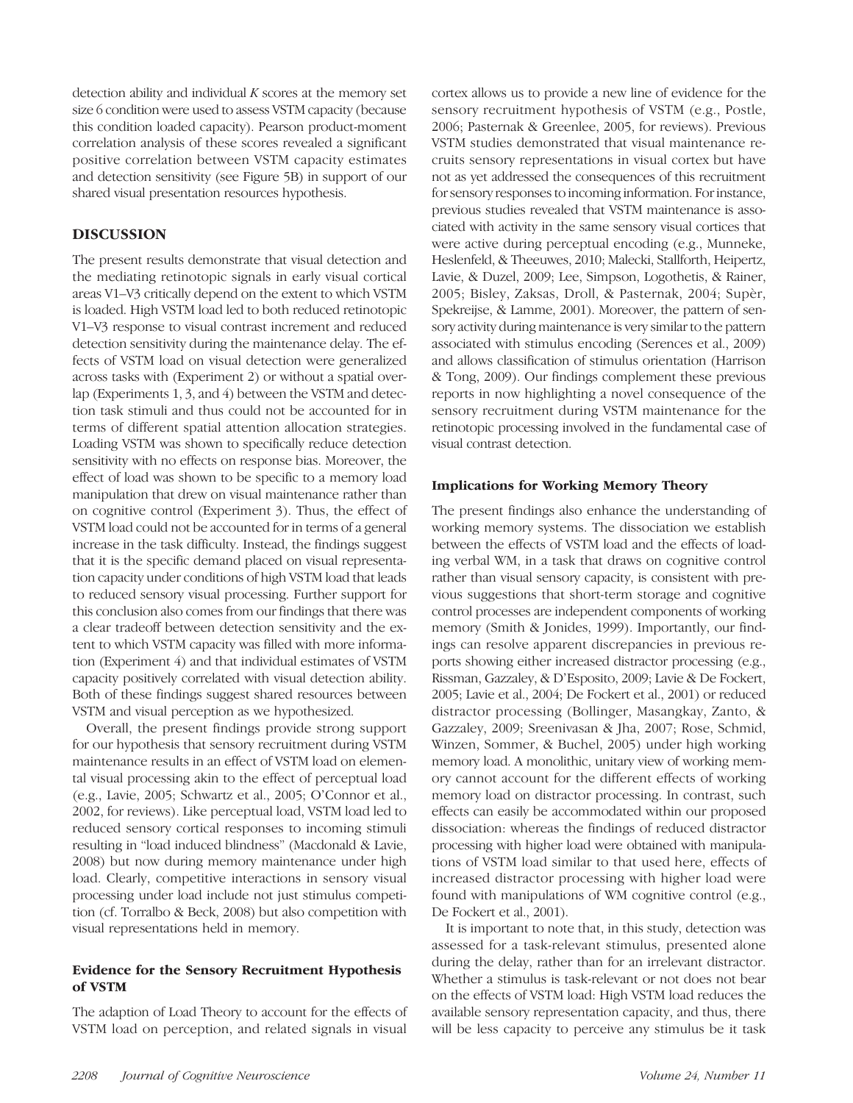detection ability and individual  $K$  scores at the memory set size 6 condition were used to assess VSTM capacity (because this condition loaded capacity). Pearson product-moment correlation analysis of these scores revealed a significant positive correlation between VSTM capacity estimates and detection sensitivity (see Figure 5B) in support of our shared visual presentation resources hypothesis.

# DISCUSSION

The present results demonstrate that visual detection and the mediating retinotopic signals in early visual cortical areas V1–V3 critically depend on the extent to which VSTM is loaded. High VSTM load led to both reduced retinotopic V1–V3 response to visual contrast increment and reduced detection sensitivity during the maintenance delay. The effects of VSTM load on visual detection were generalized across tasks with (Experiment 2) or without a spatial overlap (Experiments 1, 3, and 4) between the VSTM and detection task stimuli and thus could not be accounted for in terms of different spatial attention allocation strategies. Loading VSTM was shown to specifically reduce detection sensitivity with no effects on response bias. Moreover, the effect of load was shown to be specific to a memory load manipulation that drew on visual maintenance rather than on cognitive control (Experiment 3). Thus, the effect of VSTM load could not be accounted for in terms of a general increase in the task difficulty. Instead, the findings suggest that it is the specific demand placed on visual representation capacity under conditions of high VSTM load that leads to reduced sensory visual processing. Further support for this conclusion also comes from our findings that there was a clear tradeoff between detection sensitivity and the extent to which VSTM capacity was filled with more information (Experiment 4) and that individual estimates of VSTM capacity positively correlated with visual detection ability. Both of these findings suggest shared resources between VSTM and visual perception as we hypothesized.

Overall, the present findings provide strong support for our hypothesis that sensory recruitment during VSTM maintenance results in an effect of VSTM load on elemental visual processing akin to the effect of perceptual load (e.g., Lavie, 2005; Schwartz et al., 2005; O'Connor et al., 2002, for reviews). Like perceptual load, VSTM load led to reduced sensory cortical responses to incoming stimuli resulting in "load induced blindness" (Macdonald & Lavie, 2008) but now during memory maintenance under high load. Clearly, competitive interactions in sensory visual processing under load include not just stimulus competition (cf. Torralbo & Beck, 2008) but also competition with visual representations held in memory.

# Evidence for the Sensory Recruitment Hypothesis of VSTM

The adaption of Load Theory to account for the effects of VSTM load on perception, and related signals in visual

cortex allows us to provide a new line of evidence for the sensory recruitment hypothesis of VSTM (e.g., Postle, 2006; Pasternak & Greenlee, 2005, for reviews). Previous VSTM studies demonstrated that visual maintenance recruits sensory representations in visual cortex but have not as yet addressed the consequences of this recruitment for sensory responses to incoming information. For instance, previous studies revealed that VSTM maintenance is associated with activity in the same sensory visual cortices that were active during perceptual encoding (e.g., Munneke, Heslenfeld, & Theeuwes, 2010; Malecki, Stallforth, Heipertz, Lavie, & Duzel, 2009; Lee, Simpson, Logothetis, & Rainer, 2005; Bisley, Zaksas, Droll, & Pasternak, 2004; Supèr, Spekreijse, & Lamme, 2001). Moreover, the pattern of sensory activity during maintenance is very similar to the pattern associated with stimulus encoding (Serences et al., 2009) and allows classification of stimulus orientation (Harrison & Tong, 2009). Our findings complement these previous reports in now highlighting a novel consequence of the sensory recruitment during VSTM maintenance for the retinotopic processing involved in the fundamental case of visual contrast detection.

# Implications for Working Memory Theory

The present findings also enhance the understanding of working memory systems. The dissociation we establish between the effects of VSTM load and the effects of loading verbal WM, in a task that draws on cognitive control rather than visual sensory capacity, is consistent with previous suggestions that short-term storage and cognitive control processes are independent components of working memory (Smith & Jonides, 1999). Importantly, our findings can resolve apparent discrepancies in previous reports showing either increased distractor processing (e.g., Rissman, Gazzaley, & D'Esposito, 2009; Lavie & De Fockert, 2005; Lavie et al., 2004; De Fockert et al., 2001) or reduced distractor processing (Bollinger, Masangkay, Zanto, & Gazzaley, 2009; Sreenivasan & Jha, 2007; Rose, Schmid, Winzen, Sommer, & Buchel, 2005) under high working memory load. A monolithic, unitary view of working memory cannot account for the different effects of working memory load on distractor processing. In contrast, such effects can easily be accommodated within our proposed dissociation: whereas the findings of reduced distractor processing with higher load were obtained with manipulations of VSTM load similar to that used here, effects of increased distractor processing with higher load were found with manipulations of WM cognitive control (e.g., De Fockert et al., 2001).

It is important to note that, in this study, detection was assessed for a task-relevant stimulus, presented alone during the delay, rather than for an irrelevant distractor. Whether a stimulus is task-relevant or not does not bear on the effects of VSTM load: High VSTM load reduces the available sensory representation capacity, and thus, there will be less capacity to perceive any stimulus be it task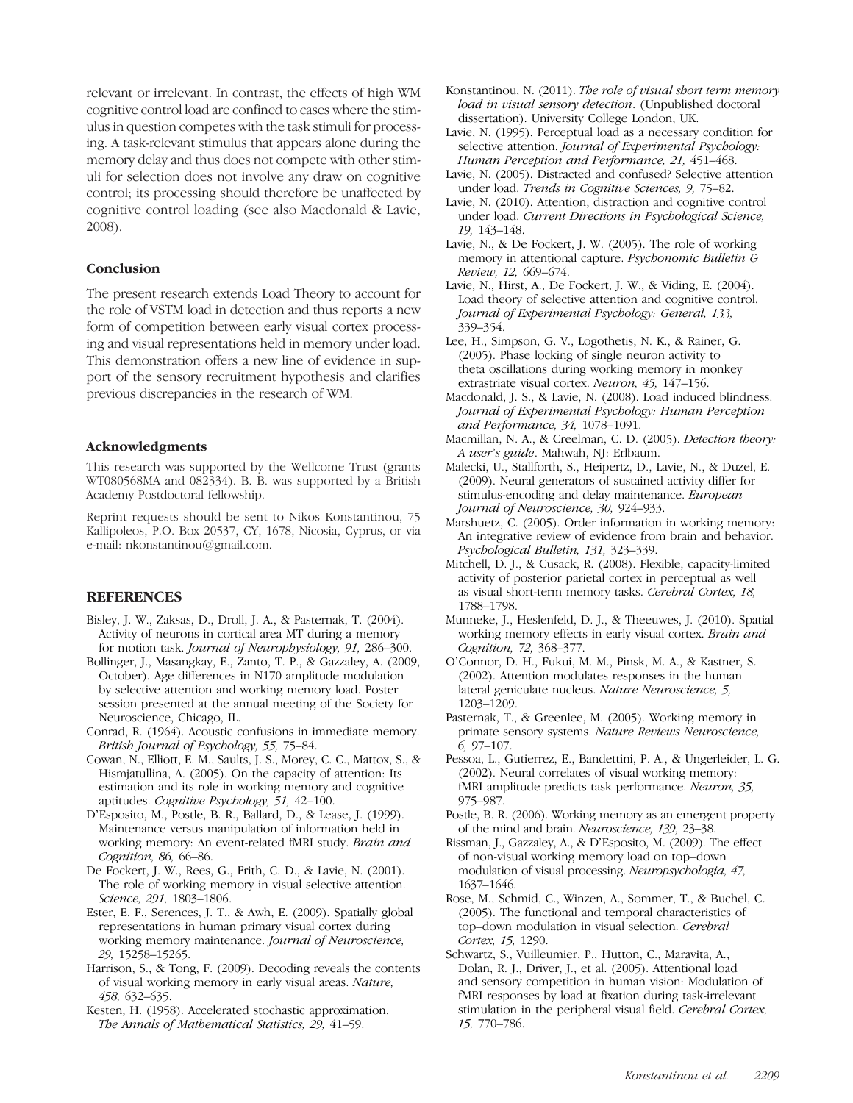relevant or irrelevant. In contrast, the effects of high WM cognitive control load are confined to cases where the stimulus in question competes with the task stimuli for processing. A task-relevant stimulus that appears alone during the memory delay and thus does not compete with other stimuli for selection does not involve any draw on cognitive control; its processing should therefore be unaffected by cognitive control loading (see also Macdonald & Lavie, 2008).

#### **Conclusion**

The present research extends Load Theory to account for the role of VSTM load in detection and thus reports a new form of competition between early visual cortex processing and visual representations held in memory under load. This demonstration offers a new line of evidence in support of the sensory recruitment hypothesis and clarifies previous discrepancies in the research of WM.

#### Acknowledgments

This research was supported by the Wellcome Trust (grants WT080568MA and 082334). B. B. was supported by a British Academy Postdoctoral fellowship.

Reprint requests should be sent to Nikos Konstantinou, 75 Kallipoleos, P.O. Box 20537, CY, 1678, Nicosia, Cyprus, or via e-mail: nkonstantinou@gmail.com.

## REFERENCES

- Bisley, J. W., Zaksas, D., Droll, J. A., & Pasternak, T. (2004). Activity of neurons in cortical area MT during a memory for motion task. Journal of Neurophysiology, 91, 286–300.
- Bollinger, J., Masangkay, E., Zanto, T. P., & Gazzaley, A. (2009, October). Age differences in N170 amplitude modulation by selective attention and working memory load. Poster session presented at the annual meeting of the Society for Neuroscience, Chicago, IL.
- Conrad, R. (1964). Acoustic confusions in immediate memory. British Journal of Psychology, 55, 75–84.
- Cowan, N., Elliott, E. M., Saults, J. S., Morey, C. C., Mattox, S., & Hismjatullina, A. (2005). On the capacity of attention: Its estimation and its role in working memory and cognitive aptitudes. Cognitive Psychology, 51, 42–100.
- D'Esposito, M., Postle, B. R., Ballard, D., & Lease, J. (1999). Maintenance versus manipulation of information held in working memory: An event-related fMRI study. Brain and Cognition, 86, 66–86.
- De Fockert, J. W., Rees, G., Frith, C. D., & Lavie, N. (2001). The role of working memory in visual selective attention. Science, 291, 1803–1806.
- Ester, E. F., Serences, J. T., & Awh, E. (2009). Spatially global representations in human primary visual cortex during working memory maintenance. Journal of Neuroscience, 29, 15258–15265.
- Harrison, S., & Tong, F. (2009). Decoding reveals the contents of visual working memory in early visual areas. Nature, 458, 632–635.
- Kesten, H. (1958). Accelerated stochastic approximation. The Annals of Mathematical Statistics, 29, 41–59.
- Konstantinou, N. (2011). The role of visual short term memory load in visual sensory detection. (Unpublished doctoral dissertation). University College London, UK.
- Lavie, N. (1995). Perceptual load as a necessary condition for selective attention. Journal of Experimental Psychology: Human Perception and Performance, 21, 451–468.
- Lavie, N. (2005). Distracted and confused? Selective attention under load. Trends in Cognitive Sciences, 9, 75–82.
- Lavie, N. (2010). Attention, distraction and cognitive control under load. Current Directions in Psychological Science, 19, 143–148.
- Lavie, N., & De Fockert, J. W. (2005). The role of working memory in attentional capture. Psychonomic Bulletin & Review, 12, 669–674.
- Lavie, N., Hirst, A., De Fockert, J. W., & Viding, E. (2004). Load theory of selective attention and cognitive control. Journal of Experimental Psychology: General, 133, 339–354.
- Lee, H., Simpson, G. V., Logothetis, N. K., & Rainer, G. (2005). Phase locking of single neuron activity to theta oscillations during working memory in monkey extrastriate visual cortex. Neuron, 45, 147–156.
- Macdonald, J. S., & Lavie, N. (2008). Load induced blindness. Journal of Experimental Psychology: Human Perception and Performance, 34, 1078–1091.
- Macmillan, N. A., & Creelman, C. D. (2005). Detection theory: A user's guide. Mahwah, NJ: Erlbaum.
- Malecki, U., Stallforth, S., Heipertz, D., Lavie, N., & Duzel, E. (2009). Neural generators of sustained activity differ for stimulus-encoding and delay maintenance. European Journal of Neuroscience, 30, 924–933.
- Marshuetz, C. (2005). Order information in working memory: An integrative review of evidence from brain and behavior. Psychological Bulletin, 131, 323–339.
- Mitchell, D. J., & Cusack, R. (2008). Flexible, capacity-limited activity of posterior parietal cortex in perceptual as well as visual short-term memory tasks. Cerebral Cortex, 18, 1788–1798.
- Munneke, J., Heslenfeld, D. J., & Theeuwes, J. (2010). Spatial working memory effects in early visual cortex. Brain and Cognition, 72, 368–377.
- O'Connor, D. H., Fukui, M. M., Pinsk, M. A., & Kastner, S. (2002). Attention modulates responses in the human lateral geniculate nucleus. Nature Neuroscience, 5, 1203–1209.
- Pasternak, T., & Greenlee, M. (2005). Working memory in primate sensory systems. Nature Reviews Neuroscience, 6, 97–107.
- Pessoa, L., Gutierrez, E., Bandettini, P. A., & Ungerleider, L. G. (2002). Neural correlates of visual working memory: fMRI amplitude predicts task performance. Neuron, 35, 975–987.
- Postle, B. R. (2006). Working memory as an emergent property of the mind and brain. Neuroscience, 139, 23–38.
- Rissman, J., Gazzaley, A., & D'Esposito, M. (2009). The effect of non-visual working memory load on top–down modulation of visual processing. Neuropsychologia, 47, 1637–1646.
- Rose, M., Schmid, C., Winzen, A., Sommer, T., & Buchel, C. (2005). The functional and temporal characteristics of top–down modulation in visual selection. Cerebral Cortex, 15, 1290.
- Schwartz, S., Vuilleumier, P., Hutton, C., Maravita, A., Dolan, R. J., Driver, J., et al. (2005). Attentional load and sensory competition in human vision: Modulation of fMRI responses by load at fixation during task-irrelevant stimulation in the peripheral visual field. Cerebral Cortex, 15, 770–786.